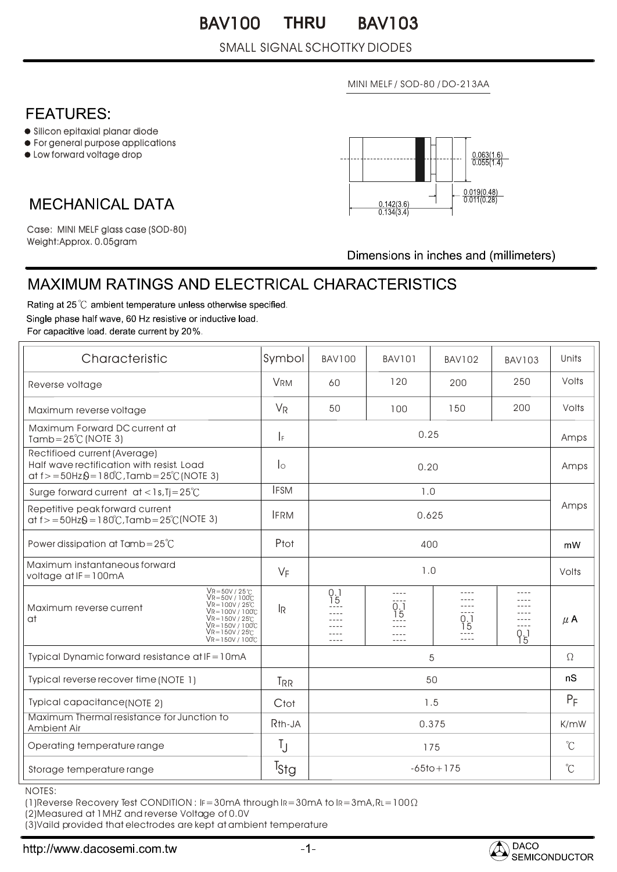#### BAV100 THRU BAV103 **THRU**

#### SMALL SIGNAL SCHOTTKY DIODES

MINI MELF / SOD-80 / DO-213AA

## **FEATURES:**

- Silicon epitaxial planar diode
- For general purpose applications
- Low forward voltage drop

## **MECHANICAL DATA**

 $0.063(1)$  $\frac{0.019(0.48)}{0.011(0.28)}$  $\frac{0.142(3.6)}{0.134(3.4)}$ 

Weight:Approx. 0.05gram Case: MINI MELF glass case (SOD-80)

Dimensions in inches and (millimeters)

# MAXIMUM RATINGS AND ELECTRICAL CHARACTERISTICS

Rating at 25 °C ambient temperature unless otherwise specified. Single phase half wave, 60 Hz resistive or inductive load. For capacitive load, derate current by 20%.

| Characteristic                                                                                                                                                                                                     | Symbol              | <b>BAV100</b>                         | BAV101                      | <b>BAV102</b>     | <b>BAV103</b>    | Units        |
|--------------------------------------------------------------------------------------------------------------------------------------------------------------------------------------------------------------------|---------------------|---------------------------------------|-----------------------------|-------------------|------------------|--------------|
| Reverse voltage                                                                                                                                                                                                    | <b>VRM</b>          | 60                                    | 120                         | 200               | 250              | Volts        |
| Maximum reverse voltage                                                                                                                                                                                            | $V_R$               | 50                                    | 100                         | 150               | 200              | Volts        |
| Maximum Forward DC current at<br>Tamb= $25^{\circ}$ C (NOTE 3)                                                                                                                                                     | $\vert$ F           | 0.25                                  |                             |                   |                  | Amps         |
| Rectifioed current (Average)<br>Half wave rectification with resist. Load<br>at $f > = 50$ Hz $\Omega = 180^{\circ}$ C, Tamb = $25^{\circ}$ C (NOTE 3)                                                             | $\log$              | 0.20                                  |                             |                   |                  | Amps         |
| Surge forward current $at < 1s$ , $Tj = 25^{\circ}C$                                                                                                                                                               | <b>IFSM</b>         | 1.0                                   |                             |                   |                  |              |
| Repetitive peak forward current<br>at $f > = 50$ Hz $\theta = 180^{\circ}$ C, Tamb = $25^{\circ}$ C(NOTE 3)                                                                                                        | <b>IFRM</b>         | 0.625                                 |                             |                   |                  | Amps         |
| Power dissipation at Tamb= $25^{\circ}$ C                                                                                                                                                                          | Ptot                | 400                                   |                             |                   |                  | mW           |
| Maximum instantaneous forward<br>voltage at $IF = 100mA$                                                                                                                                                           | $V_F$               | 1.0                                   |                             |                   |                  | Volts        |
| $VR = 50V / 25°C$<br>$V$ R=50V / 100 $C$<br>$\sqrt{R} = 100V / 25^{\circ}C$<br>Maximum reverse current<br>Vr=100V/100C<br>$\sqrt{R} = 150V / 25C$<br>at<br>$V_{R=150V/100C}$<br>$V$ R=150V / 25°C<br>Vr=150V/100°C | lŖ                  | $\begin{matrix} 0 \\ 15 \end{matrix}$ | 0.1<br>ĭ5<br>$-- -$<br>---- | 0.1<br>Ī5<br>---- | $- - - -$<br>9,1 | $\mu$ A      |
| Typical Dynamic forward resistance at IF = 10mA                                                                                                                                                                    |                     | 5                                     |                             |                   |                  | $\Omega$     |
| Typical reverse recover time (NOTE 1)                                                                                                                                                                              | <b>TRR</b>          | 50                                    |                             |                   |                  | nS           |
| Typical capacitance(NOTE 2)                                                                                                                                                                                        | Ctot                | 1.5                                   |                             |                   |                  | $P_F$        |
| Maximum Thermal resistance for Junction to<br>Ambient Air                                                                                                                                                          | R <sub>th</sub> -JA | 0.375                                 |                             |                   |                  | K/mW         |
| Operating temperature range                                                                                                                                                                                        | Ţ                   | 175                                   |                             |                   |                  | $\mathrm{C}$ |
| Storage temperature range                                                                                                                                                                                          | <sup>I</sup> stg    | $-65$ to + 175                        |                             |                   |                  | $^{\circ}$ C |

NOTES:

(1) Reverse Recovery Test CONDITION :  $IF = 30mA$  through  $IR = 30mA$  to  $IR = 3mA$ ,  $RL = 100\Omega$ 

(2)Measured at 1MHZ and reverse Voltage of 0.0V

(3)Vaild provided that electrodes are kept at ambient temperature